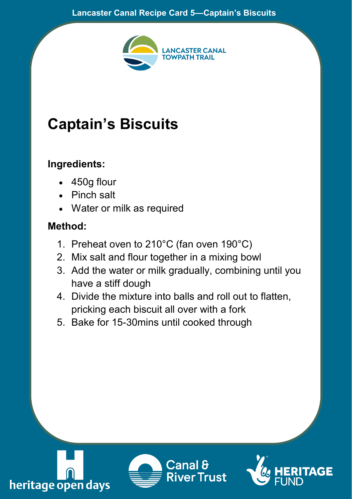

## **Captain's Biscuits**

## **Ingredients:**

- 450g flour
- Pinch salt
- Water or milk as required

## **Method:**

- 1. Preheat oven to 210°C (fan oven 190°C)
- 2. Mix salt and flour together in a mixing bowl
- 3. Add the water or milk gradually, combining until you have a stiff dough
- 4. Divide the mixture into balls and roll out to flatten, pricking each biscuit all over with a fork
- 5. Bake for 15-30mins until cooked through